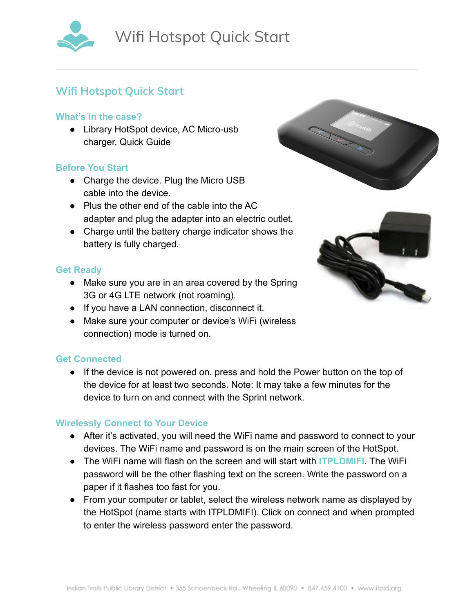

# **Wifi Hotspot Quick Start**

### **What's in the case?**

● Library HotSpot device, AC Micro-usb charger, Quick Guide

# **Before You Start**

- Charge the device. Plug the Micro USB cable into the device.
- Plus the other end of the cable into the AC adapter and plug the adapter into an electric outlet.
- Charge until the battery charge indicator shows the battery is fully charged.

# **Get Ready**

- Make sure you are in an area covered by the Spring 3G or 4G LTE network (not roaming).
- If you have a LAN connection, disconnect it.
- Make sure your computer or device's WiFi (wireless connection) mode is turned on.

# **Get Connected**

● If the device is not powered on, press and hold the Power button on the top of the device for at least two seconds. Note: It may take a few minutes for the device to turn on and connect with the Sprint network.

### **Wirelessly Connect to Your Device**

- After it's activated, you will need the WiFi name and password to connect to your devices. The WiFi name and password is on the main screen of the HotSpot.
- The WiFi name will flash on the screen and will start with **ITPLDMIFI**. The WiFi password will be the other flashing text on the screen. Write the password on a paper if it flashes too fast for you.
- From your computer or tablet, select the wireless network name as displayed by the HotSpot (name starts with ITPLDMIFI). Click on connect and when prompted to enter the wireless password enter the password.